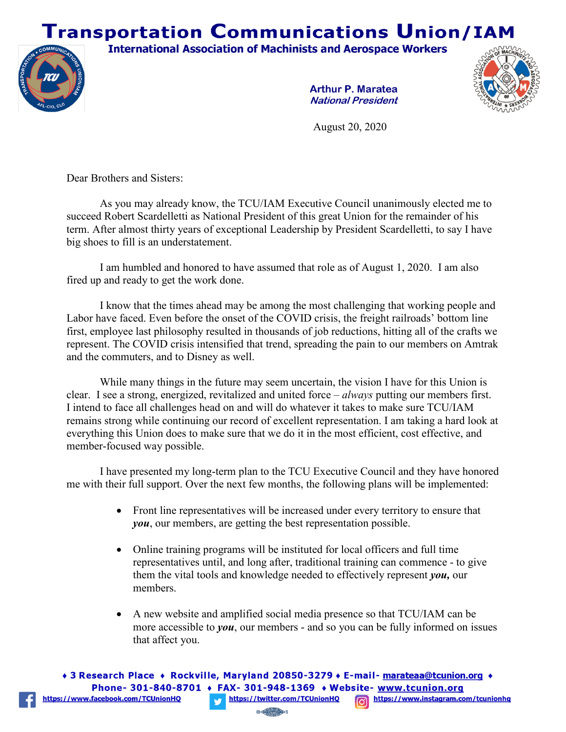## **Transportation Communications Union/IAM**

**International Association of Machinists and Aerospace Workers** 



**Arthur P. Maratea National President** 



August 20, 2020

Dear Brothers and Sisters:

As you may already know, the TCU/IAM Executive Council unanimously elected me to succeed Robert Scardelletti as National President of this great Union for the remainder of his term. After almost thirty years of exceptional Leadership by President Scardelletti, to say I have big shoes to fill is an understatement.

I am humbled and honored to have assumed that role as of August 1, 2020. I am also fired up and ready to get the work done.

I know that the times ahead may be among the most challenging that working people and Labor have faced. Even before the onset of the COVID crisis, the freight railroads' bottom line first, employee last philosophy resulted in thousands of job reductions, hitting all of the crafts we represent. The COVID crisis intensified that trend, spreading the pain to our members on Amtrak and the commuters, and to Disney as well.

While many things in the future may seem uncertain, the vision I have for this Union is clear. I see a strong, energized, revitalized and united force – *always* putting our members first. I intend to face all challenges head on and will do whatever it takes to make sure TCU/IAM remains strong while continuing our record of excellent representation. I am taking a hard look at everything this Union does to make sure that we do it in the most efficient, cost effective, and member-focused way possible.

I have presented my long-term plan to the TCU Executive Council and they have honored me with their full support. Over the next few months, the following plans will be implemented:

- Front line representatives will be increased under every territory to ensure that *you*, our members, are getting the best representation possible.
- Online training programs will be instituted for local officers and full time representatives until, and long after, traditional training can commence - to give them the vital tools and knowledge needed to effectively represent *you,* our members.
- A new website and amplified social media presence so that TCU/IAM can be more accessible to *you*, our members - and so you can be fully informed on issues that affect you.